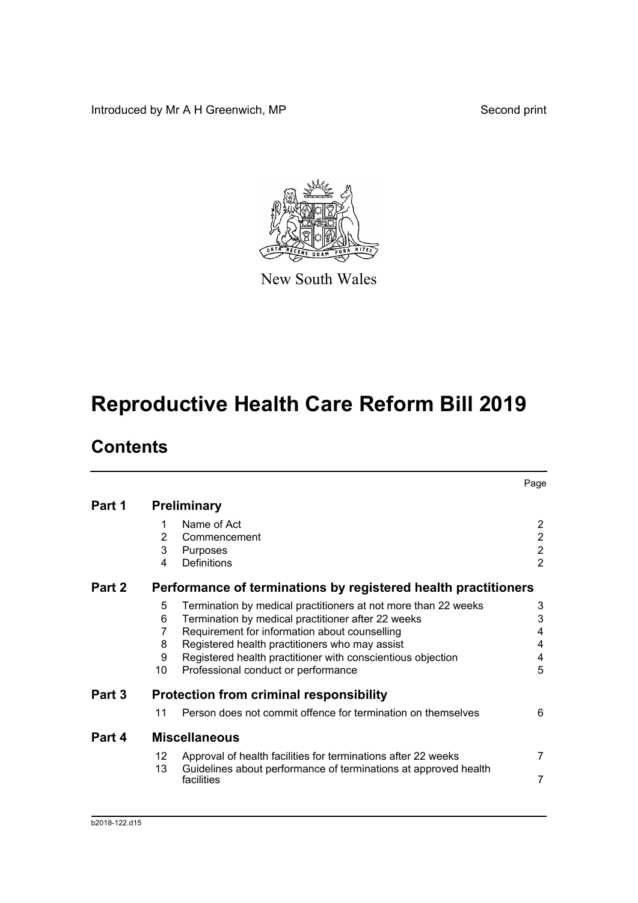Introduced by Mr A H Greenwich, MP Second print



New South Wales

# **Reproductive Health Care Reform Bill 2019**

## **Contents**

|        |    |                                                                 | Page                  |
|--------|----|-----------------------------------------------------------------|-----------------------|
| Part 1 |    | <b>Preliminary</b>                                              |                       |
|        | 1  | Name of Act                                                     | $\mathbf{2}^{\prime}$ |
|        | 2  | Commencement                                                    | $\overline{2}$        |
|        | 3  | Purposes                                                        | $\overline{2}$        |
|        | 4  | Definitions                                                     | $\overline{2}$        |
| Part 2 |    | Performance of terminations by registered health practitioners  |                       |
|        | 5  | Termination by medical practitioners at not more than 22 weeks  | 3                     |
|        | 6  | Termination by medical practitioner after 22 weeks              | 3                     |
|        | 7  | Requirement for information about counselling                   | 4                     |
|        | 8  | Registered health practitioners who may assist                  | 4                     |
|        | 9  | Registered health practitioner with conscientious objection     | 4                     |
|        | 10 | Professional conduct or performance                             | 5                     |
| Part 3 |    | <b>Protection from criminal responsibility</b>                  |                       |
|        | 11 | Person does not commit offence for termination on themselves    | 6                     |
| Part 4 |    | <b>Miscellaneous</b>                                            |                       |
|        | 12 | Approval of health facilities for terminations after 22 weeks   | $\overline{7}$        |
|        | 13 | Guidelines about performance of terminations at approved health |                       |
|        |    | facilities                                                      | 7                     |
|        |    |                                                                 |                       |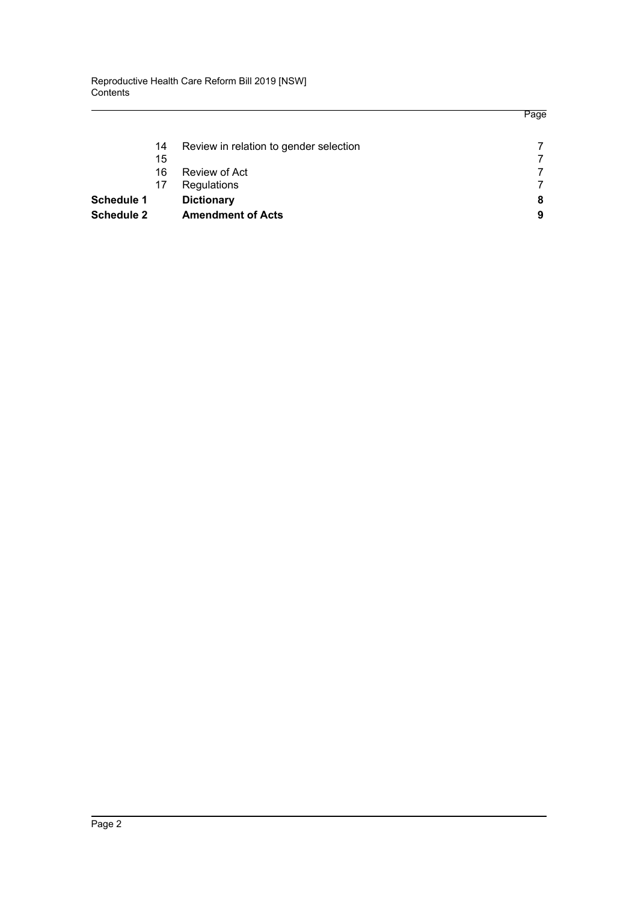| <b>Schedule 2</b> |    | <b>Amendment of Acts</b>               | 9 |
|-------------------|----|----------------------------------------|---|
| <b>Schedule 1</b> |    | <b>Dictionary</b>                      | 8 |
|                   | 17 | Regulations                            | 7 |
|                   | 16 | Review of Act                          |   |
|                   | 15 |                                        | 7 |
|                   | 14 | Review in relation to gender selection | 7 |

Page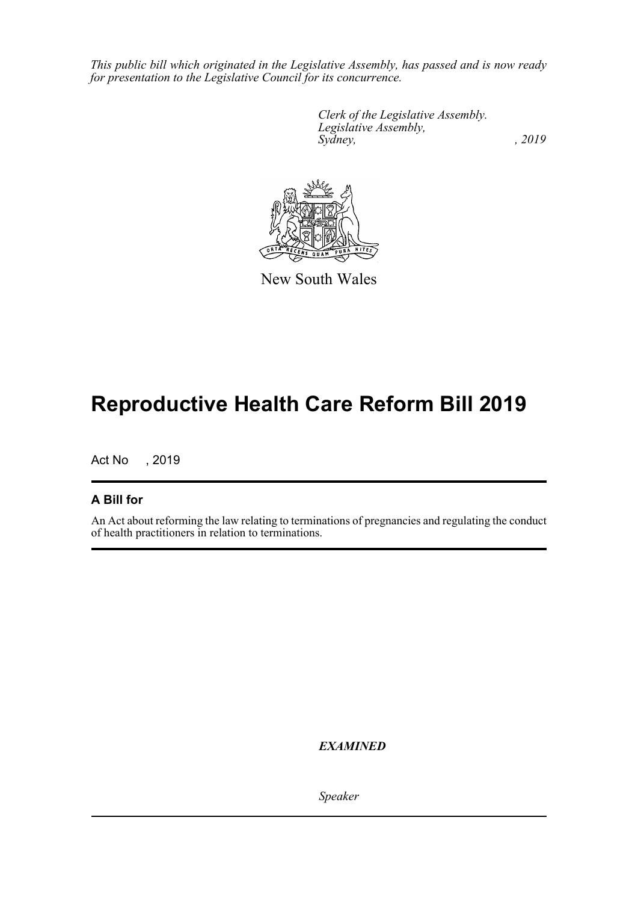*This public bill which originated in the Legislative Assembly, has passed and is now ready for presentation to the Legislative Council for its concurrence.*

> *Clerk of the Legislative Assembly. Legislative Assembly, Sydney,* , 2019

New South Wales

## **Reproductive Health Care Reform Bill 2019**

Act No , 2019

### **A Bill for**

An Act about reforming the law relating to terminations of pregnancies and regulating the conduct of health practitioners in relation to terminations.

*EXAMINED*

*Speaker*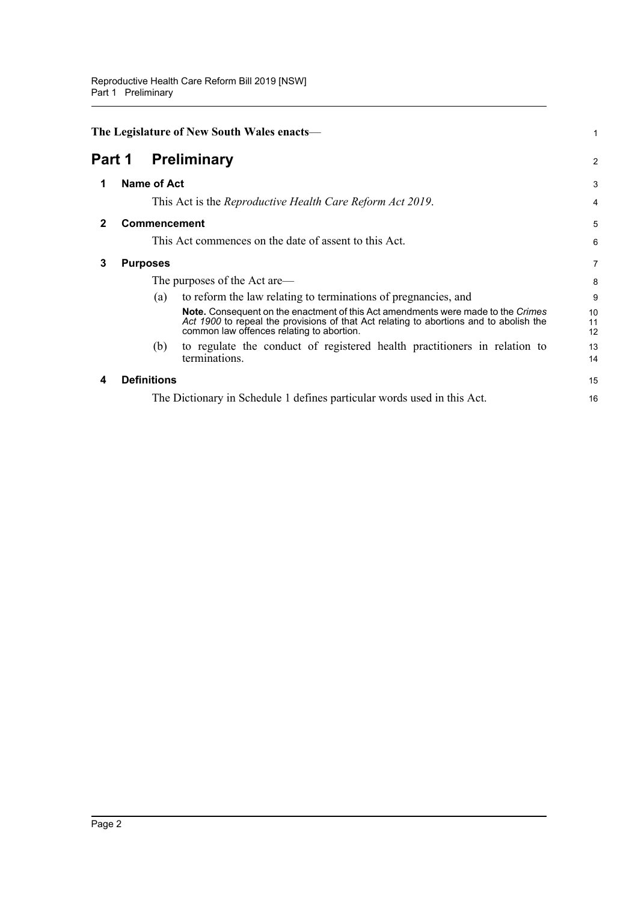<span id="page-3-4"></span><span id="page-3-3"></span><span id="page-3-2"></span><span id="page-3-1"></span><span id="page-3-0"></span>

|        | The Legislature of New South Wales enacts— |                    |                                                                                                                                                                                                                                | 1              |
|--------|--------------------------------------------|--------------------|--------------------------------------------------------------------------------------------------------------------------------------------------------------------------------------------------------------------------------|----------------|
| Part 1 |                                            |                    | <b>Preliminary</b>                                                                                                                                                                                                             | $\overline{2}$ |
| 1      |                                            | <b>Name of Act</b> |                                                                                                                                                                                                                                | 3              |
|        |                                            |                    | This Act is the <i>Reproductive Health Care Reform Act 2019</i> .                                                                                                                                                              | 4              |
| 2      |                                            |                    | <b>Commencement</b>                                                                                                                                                                                                            | 5              |
|        |                                            |                    | This Act commences on the date of assent to this Act.                                                                                                                                                                          | 6              |
| 3      |                                            | <b>Purposes</b>    |                                                                                                                                                                                                                                | 7              |
|        |                                            |                    | The purposes of the Act are—                                                                                                                                                                                                   | 8              |
|        |                                            | (a)                | to reform the law relating to terminations of pregnancies, and                                                                                                                                                                 | 9              |
|        |                                            |                    | <b>Note.</b> Consequent on the enactment of this Act amendments were made to the Crimes<br>Act 1900 to repeal the provisions of that Act relating to abortions and to abolish the<br>common law offences relating to abortion. | 10<br>11<br>12 |
|        |                                            | (b)                | to regulate the conduct of registered health practitioners in relation to<br>terminations.                                                                                                                                     | 13<br>14       |
| 4      |                                            | <b>Definitions</b> |                                                                                                                                                                                                                                | 15             |
|        |                                            |                    | The Dictionary in Schedule 1 defines particular words used in this Act.                                                                                                                                                        | 16             |
|        |                                            |                    |                                                                                                                                                                                                                                |                |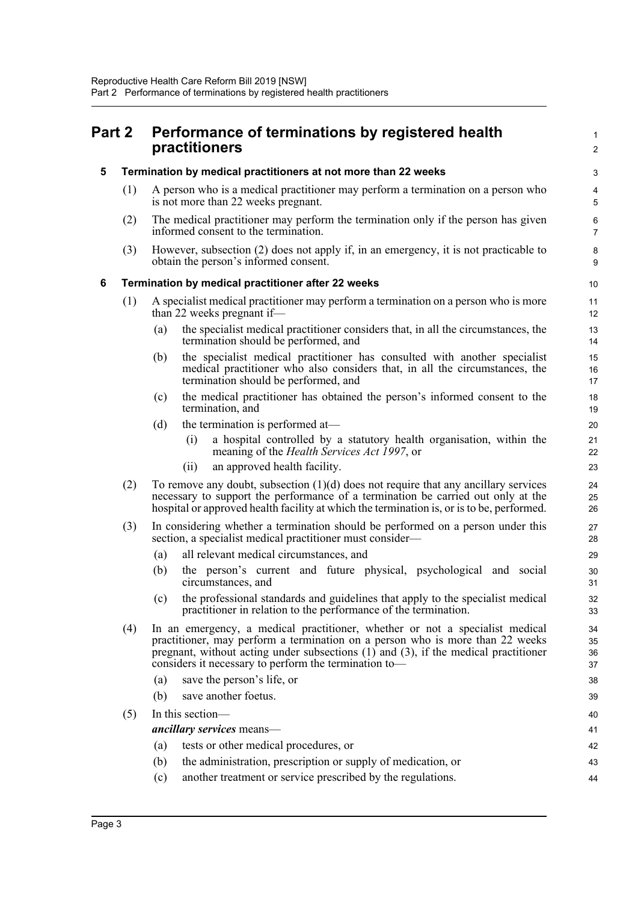<span id="page-4-2"></span><span id="page-4-1"></span><span id="page-4-0"></span>

| Part 2 |     | Performance of terminations by registered health<br>practitioners |                                                                                                                                                                                                                                                                                                                    |                      |
|--------|-----|-------------------------------------------------------------------|--------------------------------------------------------------------------------------------------------------------------------------------------------------------------------------------------------------------------------------------------------------------------------------------------------------------|----------------------|
| 5      |     |                                                                   | Termination by medical practitioners at not more than 22 weeks                                                                                                                                                                                                                                                     | 3                    |
|        | (1) |                                                                   | A person who is a medical practitioner may perform a termination on a person who<br>is not more than 22 weeks pregnant.                                                                                                                                                                                            | 4<br>5               |
|        | (2) |                                                                   | The medical practitioner may perform the termination only if the person has given<br>informed consent to the termination.                                                                                                                                                                                          | 6<br>7               |
|        | (3) |                                                                   | However, subsection (2) does not apply if, in an emergency, it is not practicable to<br>obtain the person's informed consent.                                                                                                                                                                                      | 8<br>9               |
| 6      |     |                                                                   | Termination by medical practitioner after 22 weeks                                                                                                                                                                                                                                                                 | 10                   |
|        | (1) |                                                                   | A specialist medical practitioner may perform a termination on a person who is more<br>than 22 weeks pregnant if—                                                                                                                                                                                                  | 11<br>12             |
|        |     | (a)                                                               | the specialist medical practitioner considers that, in all the circumstances, the<br>termination should be performed, and                                                                                                                                                                                          | 13<br>14             |
|        |     | (b)                                                               | the specialist medical practitioner has consulted with another specialist<br>medical practitioner who also considers that, in all the circumstances, the<br>termination should be performed, and                                                                                                                   | 15<br>16<br>17       |
|        |     | (c)                                                               | the medical practitioner has obtained the person's informed consent to the<br>termination, and                                                                                                                                                                                                                     | 18<br>19             |
|        |     | (d)                                                               | the termination is performed at-                                                                                                                                                                                                                                                                                   | 20                   |
|        |     |                                                                   | a hospital controlled by a statutory health organisation, within the<br>(i)<br>meaning of the <i>Health Services Act 1997</i> , or                                                                                                                                                                                 | 21<br>22             |
|        |     |                                                                   | an approved health facility.<br>(ii)                                                                                                                                                                                                                                                                               | 23                   |
|        | (2) |                                                                   | To remove any doubt, subsection $(1)(d)$ does not require that any ancillary services<br>necessary to support the performance of a termination be carried out only at the<br>hospital or approved health facility at which the termination is, or is to be, performed.                                             | 24<br>25<br>26       |
|        | (3) |                                                                   | In considering whether a termination should be performed on a person under this<br>section, a specialist medical practitioner must consider—                                                                                                                                                                       | 27<br>28             |
|        |     | (a)                                                               | all relevant medical circumstances, and                                                                                                                                                                                                                                                                            | 29                   |
|        |     | (b)                                                               | the person's current and future physical, psychological and social<br>circumstances, and                                                                                                                                                                                                                           | 30<br>31             |
|        |     |                                                                   | (c) the professional standards and guidelines that apply to the specialist medical<br>practitioner in relation to the performance of the termination.                                                                                                                                                              | 32<br>33             |
|        | (4) |                                                                   | In an emergency, a medical practitioner, whether or not a specialist medical<br>practitioner, may perform a termination on a person who is more than 22 weeks<br>pregnant, without acting under subsections $(1)$ and $(3)$ , if the medical practitioner<br>considers it necessary to perform the termination to- | 34<br>35<br>36<br>37 |
|        |     | (a)                                                               | save the person's life, or                                                                                                                                                                                                                                                                                         | 38                   |
|        |     | (b)                                                               | save another foetus.                                                                                                                                                                                                                                                                                               | 39                   |
|        | (5) |                                                                   | In this section-                                                                                                                                                                                                                                                                                                   | 40                   |
|        |     |                                                                   | ancillary services means-                                                                                                                                                                                                                                                                                          | 41                   |
|        |     | (a)                                                               | tests or other medical procedures, or                                                                                                                                                                                                                                                                              | 42                   |
|        |     | (b)                                                               | the administration, prescription or supply of medication, or                                                                                                                                                                                                                                                       | 43                   |
|        |     | (c)                                                               | another treatment or service prescribed by the regulations.                                                                                                                                                                                                                                                        | 44                   |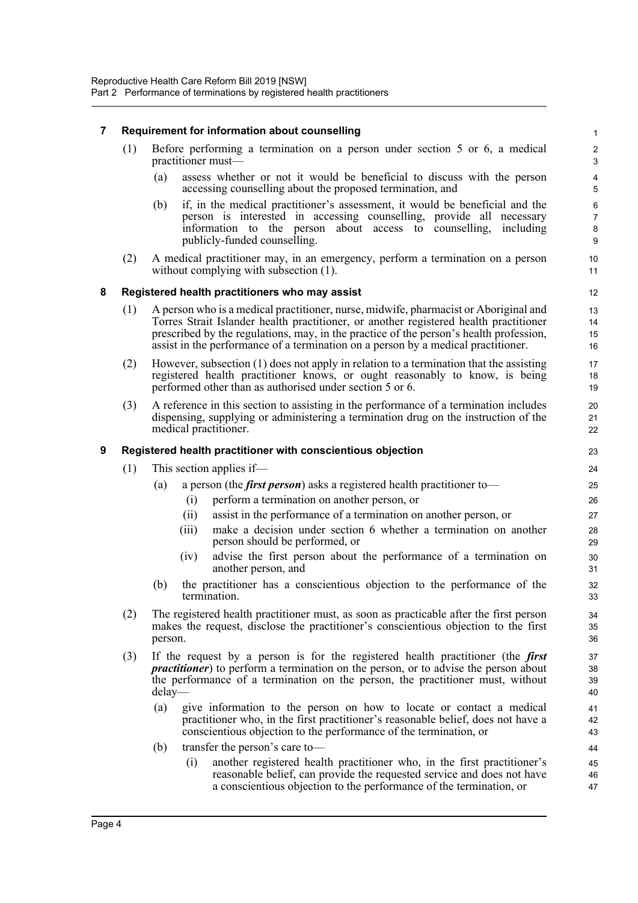#### <span id="page-5-0"></span>**7 Requirement for information about counselling**

| (1) Before performing a termination on a person under section 5 or 6, a medical |
|---------------------------------------------------------------------------------|
| practitioner must—                                                              |

(a) assess whether or not it would be beneficial to discuss with the person accessing counselling about the proposed termination, and

- (b) if, in the medical practitioner's assessment, it would be beneficial and the person is interested in accessing counselling, provide all necessary information to the person about access to counselling, including publicly-funded counselling.
- (2) A medical practitioner may, in an emergency, perform a termination on a person without complying with subsection  $(1)$ .

#### <span id="page-5-1"></span>**8 Registered health practitioners who may assist**

- (1) A person who is a medical practitioner, nurse, midwife, pharmacist or Aboriginal and Torres Strait Islander health practitioner, or another registered health practitioner prescribed by the regulations, may, in the practice of the person's health profession, assist in the performance of a termination on a person by a medical practitioner.
- (2) However, subsection (1) does not apply in relation to a termination that the assisting registered health practitioner knows, or ought reasonably to know, is being performed other than as authorised under section 5 or 6.
- (3) A reference in this section to assisting in the performance of a termination includes dispensing, supplying or administering a termination drug on the instruction of the medical practitioner.

#### <span id="page-5-2"></span>**9 Registered health practitioner with conscientious objection**

- (1) This section applies if—
	- (a) a person (the *first person*) asks a registered health practitioner to—
		- (i) perform a termination on another person, or
		- (ii) assist in the performance of a termination on another person, or
		- (iii) make a decision under section 6 whether a termination on another person should be performed, or
		- (iv) advise the first person about the performance of a termination on another person, and
	- (b) the practitioner has a conscientious objection to the performance of the termination.
- (2) The registered health practitioner must, as soon as practicable after the first person makes the request, disclose the practitioner's conscientious objection to the first person.
- (3) If the request by a person is for the registered health practitioner (the *first practitioner*) to perform a termination on the person, or to advise the person about the performance of a termination on the person, the practitioner must, without delay—
	- (a) give information to the person on how to locate or contact a medical practitioner who, in the first practitioner's reasonable belief, does not have a conscientious objection to the performance of the termination, or
	- (b) transfer the person's care to—
		- (i) another registered health practitioner who, in the first practitioner's reasonable belief, can provide the requested service and does not have a conscientious objection to the performance of the termination, or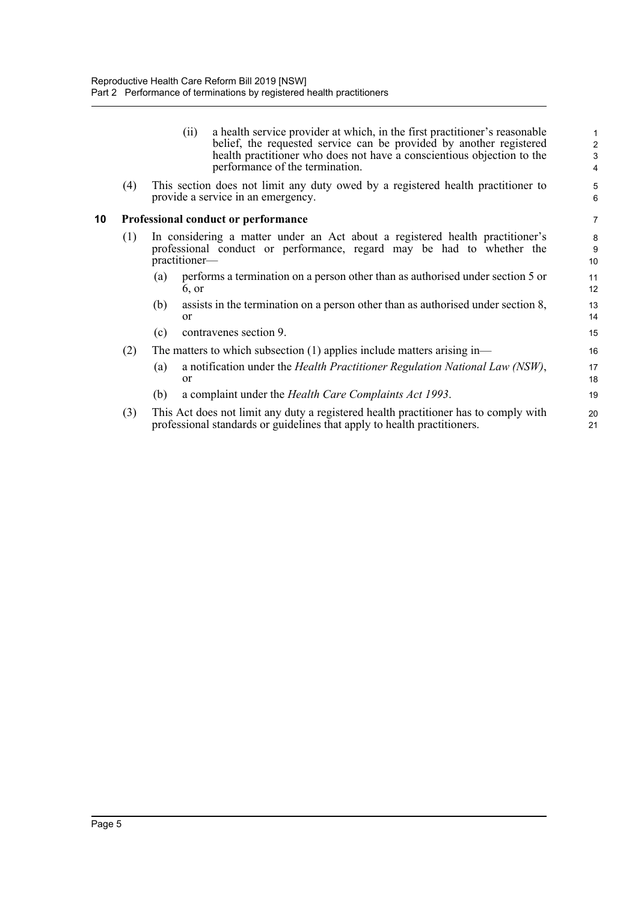<span id="page-6-0"></span>

|    |     | (11)             | a health service provider at which, in the first practitioner's reasonable<br>belief, the requested service can be provided by another registered<br>health practitioner who does not have a conscientious objection to the | 1<br>$\overline{\mathbf{c}}$<br>3 |
|----|-----|------------------|-----------------------------------------------------------------------------------------------------------------------------------------------------------------------------------------------------------------------------|-----------------------------------|
|    |     |                  | performance of the termination.                                                                                                                                                                                             | 4                                 |
|    | (4) |                  | This section does not limit any duty owed by a registered health practitioner to<br>provide a service in an emergency.                                                                                                      | 5<br>6                            |
| 10 |     |                  | Professional conduct or performance                                                                                                                                                                                         | 7                                 |
|    | (1) | practitioner—    | In considering a matter under an Act about a registered health practitioner's<br>professional conduct or performance, regard may be had to whether the                                                                      | 8<br>9<br>10                      |
|    |     | (a)<br>6, or     | performs a termination on a person other than as authorised under section 5 or                                                                                                                                              | 11<br>12                          |
|    |     | (b)<br><b>or</b> | assists in the termination on a person other than as authorised under section 8,                                                                                                                                            | 13<br>14                          |
|    |     | (c)              | contravenes section 9.                                                                                                                                                                                                      | 15                                |
|    | (2) |                  | The matters to which subsection $(1)$ applies include matters arising in—                                                                                                                                                   | 16                                |
|    |     | (a)<br>or        | a notification under the Health Practitioner Regulation National Law (NSW),                                                                                                                                                 | 17<br>18                          |
|    |     | (b)              | a complaint under the Health Care Complaints Act 1993.                                                                                                                                                                      | 19                                |
|    | (3) |                  | This Act does not limit any duty a registered health practitioner has to comply with<br>professional standards or guidelines that apply to health practitioners.                                                            | 20<br>21                          |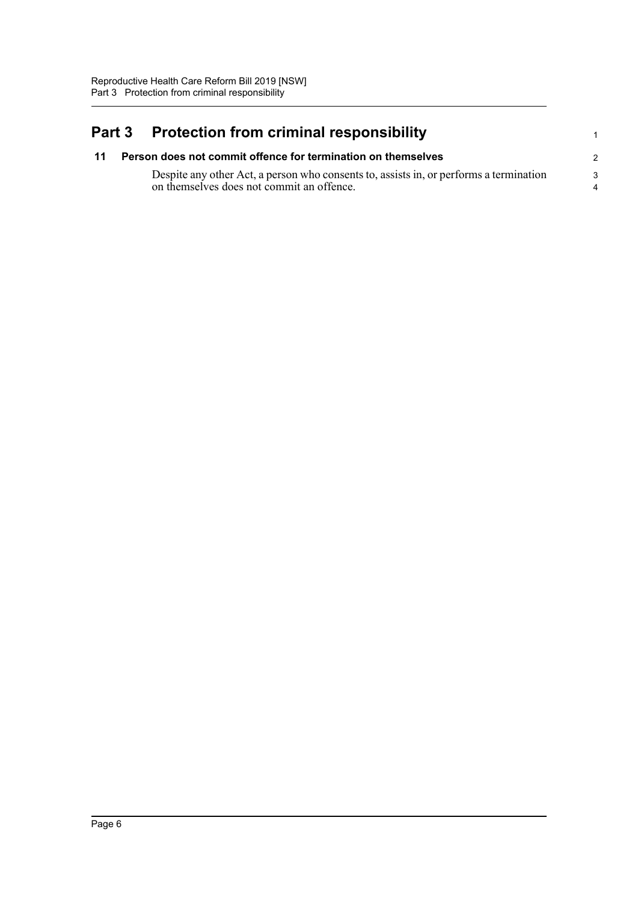## <span id="page-7-0"></span>**Part 3 Protection from criminal responsibility**

<span id="page-7-1"></span>

| 11 | Person does not commit offence for termination on themselves                                                                        |  |  |
|----|-------------------------------------------------------------------------------------------------------------------------------------|--|--|
|    | Despite any other Act, a person who consents to, assists in, or performs a termination<br>on themselves does not commit an offence. |  |  |

1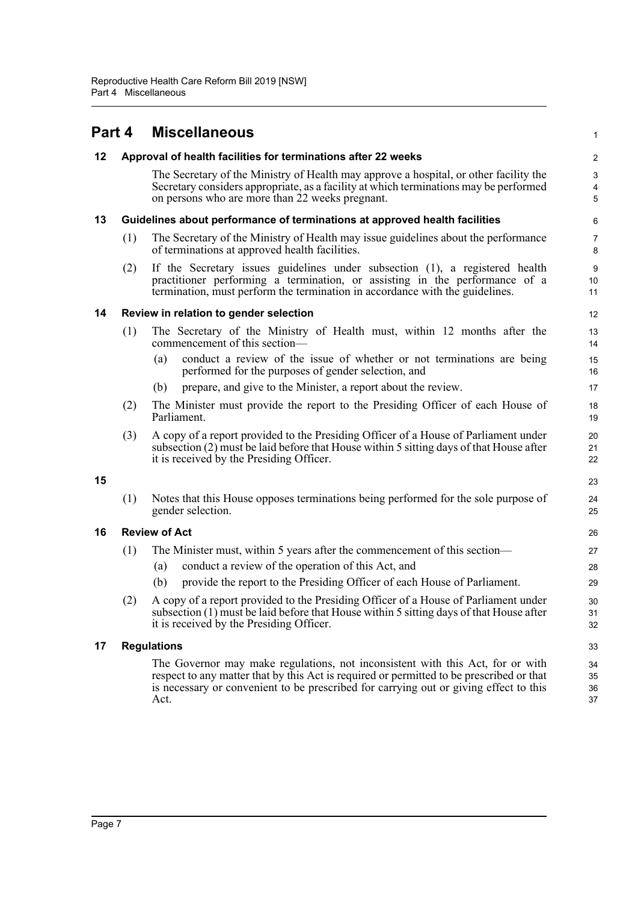<span id="page-8-6"></span><span id="page-8-5"></span><span id="page-8-4"></span><span id="page-8-3"></span><span id="page-8-2"></span><span id="page-8-1"></span><span id="page-8-0"></span>

| Part 4 |     | <b>Miscellaneous</b>                                                                                                                                                                                                                                                        | 1                     |
|--------|-----|-----------------------------------------------------------------------------------------------------------------------------------------------------------------------------------------------------------------------------------------------------------------------------|-----------------------|
| 12     |     | Approval of health facilities for terminations after 22 weeks                                                                                                                                                                                                               | $\boldsymbol{2}$      |
|        |     | The Secretary of the Ministry of Health may approve a hospital, or other facility the<br>Secretary considers appropriate, as a facility at which terminations may be performed<br>on persons who are more than 22 weeks pregnant.                                           | $\mathsf 3$<br>4<br>5 |
| 13     |     | Guidelines about performance of terminations at approved health facilities                                                                                                                                                                                                  | 6                     |
|        | (1) | The Secretary of the Ministry of Health may issue guidelines about the performance<br>of terminations at approved health facilities.                                                                                                                                        | $\overline{7}$<br>8   |
|        | (2) | If the Secretary issues guidelines under subsection (1), a registered health<br>practitioner performing a termination, or assisting in the performance of a<br>termination, must perform the termination in accordance with the guidelines.                                 | 9<br>10<br>11         |
| 14     |     | Review in relation to gender selection                                                                                                                                                                                                                                      | 12                    |
|        | (1) | The Secretary of the Ministry of Health must, within 12 months after the<br>commencement of this section—                                                                                                                                                                   | 13<br>14              |
|        |     | conduct a review of the issue of whether or not terminations are being<br>(a)<br>performed for the purposes of gender selection, and                                                                                                                                        | 15<br>16              |
|        |     | prepare, and give to the Minister, a report about the review.<br>(b)                                                                                                                                                                                                        | 17                    |
|        | (2) | The Minister must provide the report to the Presiding Officer of each House of<br>Parliament.                                                                                                                                                                               | 18<br>19              |
|        | (3) | A copy of a report provided to the Presiding Officer of a House of Parliament under<br>subsection (2) must be laid before that House within 5 sitting days of that House after<br>it is received by the Presiding Officer.                                                  | 20<br>21<br>22        |
| 15     |     |                                                                                                                                                                                                                                                                             | 23                    |
|        | (1) | Notes that this House opposes terminations being performed for the sole purpose of<br>gender selection.                                                                                                                                                                     | 24<br>25              |
| 16     |     | <b>Review of Act</b>                                                                                                                                                                                                                                                        | 26                    |
|        | (1) | The Minister must, within 5 years after the commencement of this section—                                                                                                                                                                                                   | 27                    |
|        |     | conduct a review of the operation of this Act, and<br>(a)                                                                                                                                                                                                                   | 28                    |
|        |     | provide the report to the Presiding Officer of each House of Parliament.<br>(b)                                                                                                                                                                                             | 29                    |
|        | (2) | A copy of a report provided to the Presiding Officer of a House of Parliament under<br>subsection (1) must be laid before that House within 5 sitting days of that House after<br>it is received by the Presiding Officer.                                                  | 30<br>31<br>32        |
| 17     |     | <b>Regulations</b>                                                                                                                                                                                                                                                          | 33                    |
|        |     | The Governor may make regulations, not inconsistent with this Act, for or with<br>respect to any matter that by this Act is required or permitted to be prescribed or that<br>is necessary or convenient to be prescribed for carrying out or giving effect to this<br>Act. | 34<br>35<br>36<br>37  |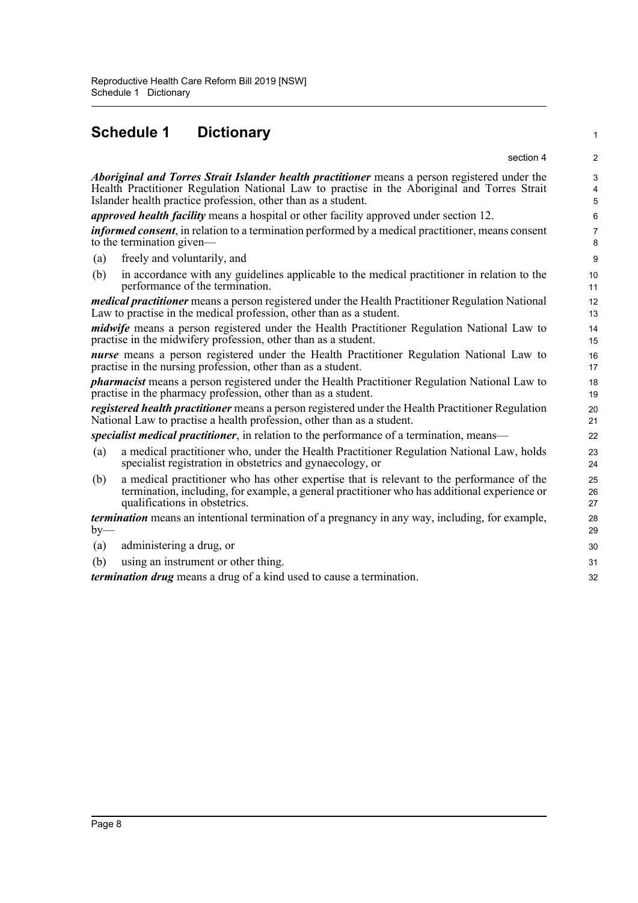### **Schedule 1 Dictionary**

<span id="page-9-0"></span>

| Schedule 1<br><b>Dictionary</b>                                                                                                                                                                                                                               | $\mathbf{1}$                                 |
|---------------------------------------------------------------------------------------------------------------------------------------------------------------------------------------------------------------------------------------------------------------|----------------------------------------------|
| section 4                                                                                                                                                                                                                                                     | $\overline{2}$                               |
| Aboriginal and Torres Strait Islander health practitioner means a person registered under the<br>Health Practitioner Regulation National Law to practise in the Aboriginal and Torres Strait<br>Islander health practice profession, other than as a student. | $\mathbf{3}$<br>$\overline{\mathbf{4}}$<br>5 |
| <i>approved health facility</i> means a hospital or other facility approved under section 12.                                                                                                                                                                 | 6                                            |
| <i>informed consent</i> , in relation to a termination performed by a medical practitioner, means consent<br>to the termination given—                                                                                                                        | $\overline{7}$<br>8                          |
| freely and voluntarily, and<br>(a)                                                                                                                                                                                                                            | 9                                            |
| (b)<br>in accordance with any guidelines applicable to the medical practitioner in relation to the<br>performance of the termination.                                                                                                                         | 10<br>11                                     |
| <i>medical practitioner</i> means a person registered under the Health Practitioner Regulation National<br>Law to practise in the medical profession, other than as a student.                                                                                | 12<br>13                                     |
| <i>midwife</i> means a person registered under the Health Practitioner Regulation National Law to<br>practise in the midwifery profession, other than as a student.                                                                                           | 14<br>15                                     |
| nurse means a person registered under the Health Practitioner Regulation National Law to<br>practise in the nursing profession, other than as a student.                                                                                                      | 16<br>17                                     |
| <i>pharmacist</i> means a person registered under the Health Practitioner Regulation National Law to<br>practise in the pharmacy profession, other than as a student.                                                                                         | 18<br>19                                     |
| registered health practitioner means a person registered under the Health Practitioner Regulation<br>National Law to practise a health profession, other than as a student.                                                                                   | 20<br>21                                     |
| specialist medical practitioner, in relation to the performance of a termination, means—                                                                                                                                                                      | 22                                           |
| a medical practitioner who, under the Health Practitioner Regulation National Law, holds<br>(a)<br>specialist registration in obstetrics and gynaecology, or                                                                                                  | 23<br>24                                     |
| a medical practitioner who has other expertise that is relevant to the performance of the<br>(b)<br>termination, including, for example, a general practitioner who has additional experience or<br>qualifications in obstetrics.                             | 25<br>26<br>27                               |
| <i>termination</i> means an intentional termination of a pregnancy in any way, including, for example,<br>$by-$                                                                                                                                               | 28<br>29                                     |
| administering a drug, or<br>(a)                                                                                                                                                                                                                               | 30                                           |
| using an instrument or other thing.<br>(b)                                                                                                                                                                                                                    | 31                                           |
| <i>termination drug</i> means a drug of a kind used to cause a termination.                                                                                                                                                                                   | 32                                           |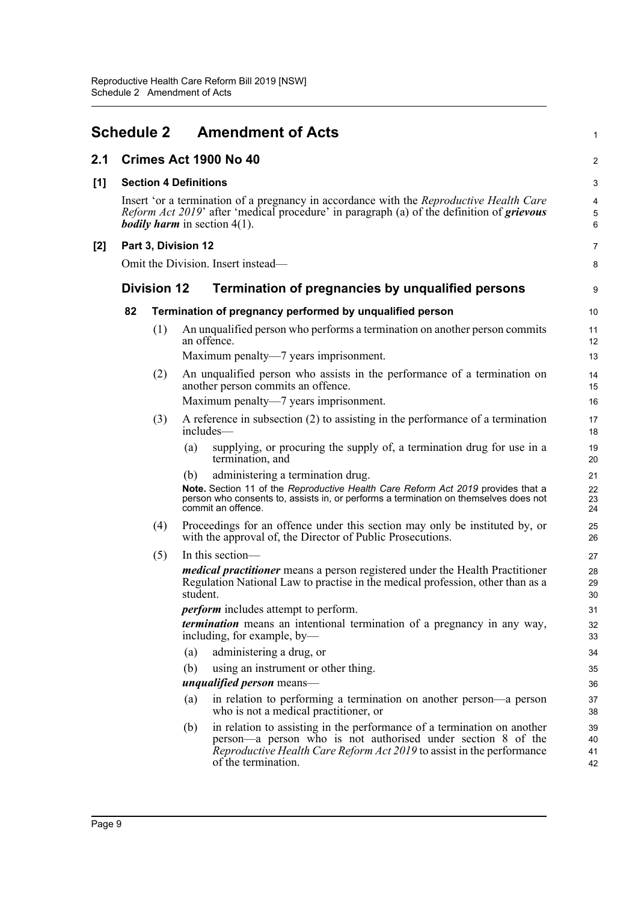<span id="page-10-0"></span>

|       | <b>Schedule 2</b> |                    | <b>Amendment of Acts</b>                                                                                                                                                                                                                            | $\mathbf{1}$             |
|-------|-------------------|--------------------|-----------------------------------------------------------------------------------------------------------------------------------------------------------------------------------------------------------------------------------------------------|--------------------------|
| 2.1   |                   |                    | Crimes Act 1900 No 40                                                                                                                                                                                                                               | $\overline{c}$           |
| [1]   |                   |                    | <b>Section 4 Definitions</b>                                                                                                                                                                                                                        | 3                        |
|       |                   |                    | Insert 'or a termination of a pregnancy in accordance with the <i>Reproductive Health Care</i><br><i>Reform Act 2019'</i> after 'medical procedure' in paragraph (a) of the definition of <i>grievous</i><br><b>bodily harm</b> in section $4(1)$ . | 4<br>5<br>$6\phantom{1}$ |
| $[2]$ |                   |                    | Part 3, Division 12                                                                                                                                                                                                                                 | 7                        |
|       |                   |                    | Omit the Division. Insert instead—                                                                                                                                                                                                                  | 8                        |
|       |                   | <b>Division 12</b> | Termination of pregnancies by unqualified persons                                                                                                                                                                                                   | 9                        |
|       | 82                |                    | Termination of pregnancy performed by unqualified person                                                                                                                                                                                            | 10                       |
|       |                   | (1)                | An unqualified person who performs a termination on another person commits<br>an offence.                                                                                                                                                           | 11<br>12                 |
|       |                   |                    | Maximum penalty-7 years imprisonment.                                                                                                                                                                                                               | 13                       |
|       |                   | (2)                | An unqualified person who assists in the performance of a termination on<br>another person commits an offence.                                                                                                                                      | 14<br>15                 |
|       |                   |                    | Maximum penalty—7 years imprisonment.                                                                                                                                                                                                               | 16                       |
|       |                   | (3)                | A reference in subsection $(2)$ to assisting in the performance of a termination<br>includes-                                                                                                                                                       | 17<br>18                 |
|       |                   |                    | supplying, or procuring the supply of, a termination drug for use in a<br>(a)<br>termination, and                                                                                                                                                   | 19<br>20                 |
|       |                   |                    | administering a termination drug.<br>(b)                                                                                                                                                                                                            | 21                       |
|       |                   |                    | Note. Section 11 of the Reproductive Health Care Reform Act 2019 provides that a<br>person who consents to, assists in, or performs a termination on themselves does not<br>commit an offence.                                                      | 22<br>23<br>24           |
|       |                   | (4)                | Proceedings for an offence under this section may only be instituted by, or<br>with the approval of, the Director of Public Prosecutions.                                                                                                           | 25<br>26                 |
|       |                   | (5)                | In this section-                                                                                                                                                                                                                                    | 27                       |
|       |                   |                    | medical practitioner means a person registered under the Health Practitioner<br>Regulation National Law to practise in the medical profession, other than as a<br>student.                                                                          | 28<br>29<br>30           |
|       |                   |                    | <i>perform</i> includes attempt to perform.                                                                                                                                                                                                         | 31                       |
|       |                   |                    | termination means an intentional termination of a pregnancy in any way,<br>including, for example, by-                                                                                                                                              | 32<br>33                 |
|       |                   |                    | administering a drug, or<br>(a)                                                                                                                                                                                                                     | 34                       |
|       |                   |                    | (b)<br>using an instrument or other thing.                                                                                                                                                                                                          | 35                       |
|       |                   |                    | <i>unqualified person</i> means—                                                                                                                                                                                                                    | 36                       |
|       |                   |                    | in relation to performing a termination on another person-a person<br>(a)<br>who is not a medical practitioner, or                                                                                                                                  | 37<br>38                 |
|       |                   |                    | in relation to assisting in the performance of a termination on another<br>(b)                                                                                                                                                                      | 39                       |
|       |                   |                    | person—a person who is not authorised under section 8 of the<br><i>Reproductive Health Care Reform Act 2019</i> to assist in the performance<br>of the termination.                                                                                 | 40<br>41<br>42           |
|       |                   |                    |                                                                                                                                                                                                                                                     |                          |